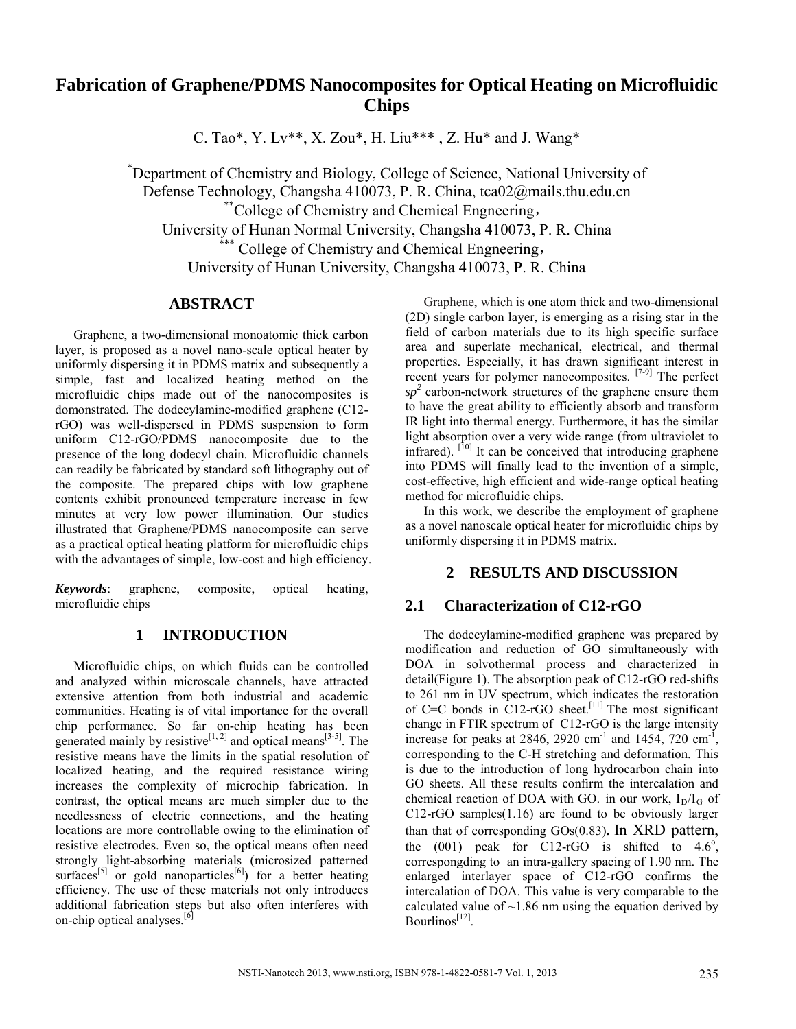# **Fabrication of Graphene/PDMS Nanocomposites for Optical Heating on Microfluidic Chips**

C. Tao\*, Y. Lv\*\*, X. Zou\*, H. Liu\*\*\* , Z. Hu\* and J. Wang\*

\* Department of Chemistry and Biology, College of Science, National University of Defense Technology, Changsha 410073, P. R. China, tca02@mails.thu.edu.cn \*\* College of Chemistry and Chemical Engneering, University of Hunan Normal University, Changsha 410073, P. R. China \*\*\* College of Chemistry and Chemical Engneering, University of Hunan University, Changsha 410073, P. R. China

### **ABSTRACT**

Graphene, a two-dimensional monoatomic thick carbon layer, is proposed as a novel nano-scale optical heater by uniformly dispersing it in PDMS matrix and subsequently a simple, fast and localized heating method on the microfluidic chips made out of the nanocomposites is domonstrated. The dodecylamine-modified graphene (C12 rGO) was well-dispersed in PDMS suspension to form uniform C12-rGO/PDMS nanocomposite due to the presence of the long dodecyl chain. Microfluidic channels can readily be fabricated by standard soft lithography out of the composite. The prepared chips with low graphene contents exhibit pronounced temperature increase in few minutes at very low power illumination. Our studies illustrated that Graphene/PDMS nanocomposite can serve as a practical optical heating platform for microfluidic chips with the advantages of simple, low-cost and high efficiency.

*Keywords*: graphene, composite, optical heating, microfluidic chips

# **1 INTRODUCTION**

Microfluidic chips, on which fluids can be controlled and analyzed within microscale channels, have attracted extensive attention from both industrial and academic communities. Heating is of vital importance for the overall chip performance. So far on-chip heating has been generated mainly by resistive<sup>[1, 2]</sup> and optical means<sup>[3-5]</sup>. The resistive means have the limits in the spatial resolution of localized heating, and the required resistance wiring increases the complexity of microchip fabrication. In contrast, the optical means are much simpler due to the needlessness of electric connections, and the heating locations are more controllable owing to the elimination of resistive electrodes. Even so, the optical means often need strongly light-absorbing materials (microsized patterned surfaces<sup>[5]</sup> or gold nanoparticles<sup>[6]</sup>) for a better heating efficiency. The use of these materials not only introduces additional fabrication steps but also often interferes with on-chip optical analyses.<sup>[6]</sup>

Graphene, which is one atom thick and two-dimensional (2D) single carbon layer, is emerging as a rising star in the field of carbon materials due to its high specific surface area and superlate mechanical, electrical, and thermal properties. Especially, it has drawn significant interest in recent years for polymer nanocomposites. [7-9] The perfect  $sp<sup>2</sup>$  carbon-network structures of the graphene ensure them to have the great ability to efficiently absorb and transform IR light into thermal energy. Furthermore, it has the similar light absorption over a very wide range (from ultraviolet to infrared). <sup>[10]</sup> It can be conceived that introducing graphene into PDMS will finally lead to the invention of a simple, cost-effective, high efficient and wide-range optical heating method for microfluidic chips.

In this work, we describe the employment of graphene as a novel nanoscale optical heater for microfluidic chips by uniformly dispersing it in PDMS matrix.

# **2 RESULTS AND DISCUSSION**

# **2.1 Characterization of C12-rGO**

The dodecylamine-modified graphene was prepared by modification and reduction of GO simultaneously with DOA in solvothermal process and characterized in detail(Figure 1). The absorption peak of C12-rGO red-shifts to 261 nm in UV spectrum, which indicates the restoration of  $C=C$  bonds in  $C12$ -rGO sheet.<sup>[11]</sup> The most significant change in FTIR spectrum of C12-rGO is the large intensity increase for peaks at 2846, 2920 cm<sup>-1</sup> and 1454, 720 cm<sup>-1</sup>, corresponding to the C-H stretching and deformation. This is due to the introduction of long hydrocarbon chain into GO sheets. All these results confirm the intercalation and chemical reaction of DOA with GO. in our work,  $I_D/I_G$  of C12-rGO samples(1.16) are found to be obviously larger than that of corresponding GOs(0.83)**.** In XRD pattern, the  $(001)$  peak for C12-rGO is shifted to  $4.6^\circ$ , correspongding to an intra-gallery spacing of 1.90 nm. The enlarged interlayer space of C12-rGO confirms the intercalation of DOA. This value is very comparable to the calculated value of  $\sim$ 1.86 nm using the equation derived by Bourlinos<sup> $[12]$ </sup>.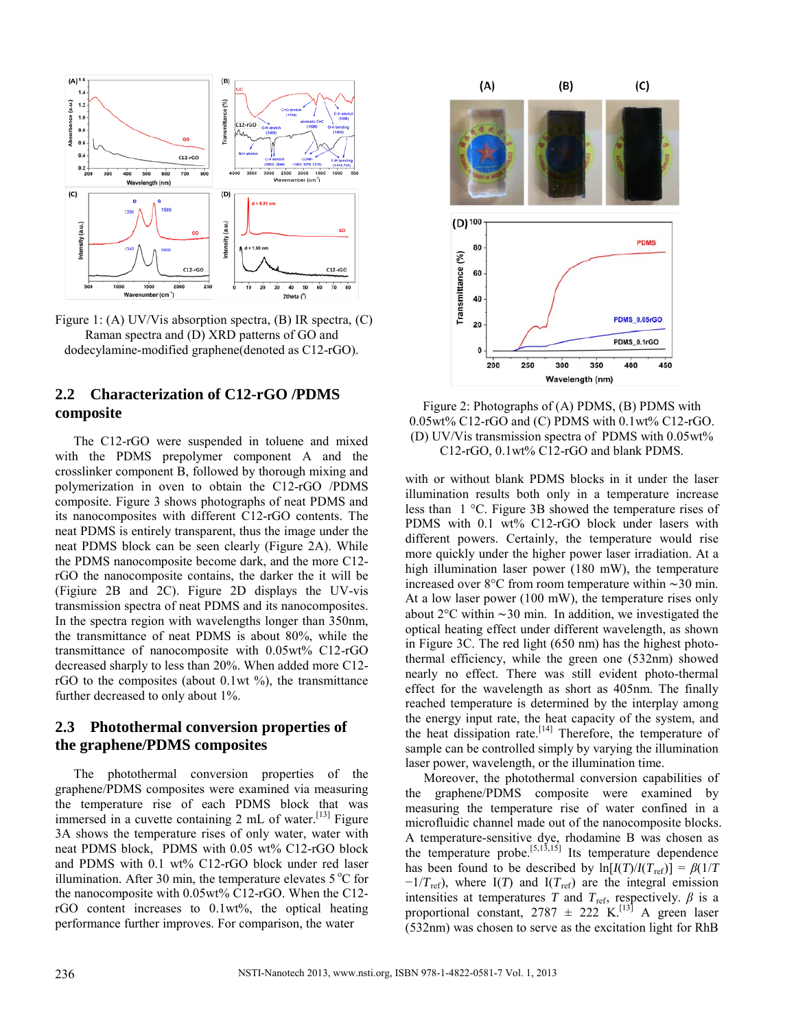

Figure 1: (A) UV/Vis absorption spectra, (B) IR spectra, (C) Raman spectra and (D) XRD patterns of GO and dodecylamine-modified graphene(denoted as C12-rGO).

# **2.2 Characterization of C12-rGO /PDMS composite**

The C12-rGO were suspended in toluene and mixed with the PDMS prepolymer component A and the crosslinker component B, followed by thorough mixing and polymerization in oven to obtain the C12-rGO /PDMS composite. Figure 3 shows photographs of neat PDMS and its nanocomposites with different C12-rGO contents. The neat PDMS is entirely transparent, thus the image under the neat PDMS block can be seen clearly (Figure 2A). While the PDMS nanocomposite become dark, and the more C12 rGO the nanocomposite contains, the darker the it will be (Figiure 2B and 2C). Figure 2D displays the UV-vis transmission spectra of neat PDMS and its nanocomposites. In the spectra region with wavelengths longer than 350nm, the transmittance of neat PDMS is about 80%, while the transmittance of nanocomposite with 0.05wt% C12-rGO decreased sharply to less than 20%. When added more C12 rGO to the composites (about  $0.1$ wt  $\%$ ), the transmittance further decreased to only about 1%.

# **2.3 Photothermal conversion properties of the graphene/PDMS composites**

The photothermal conversion properties of the graphene/PDMS composites were examined via measuring the temperature rise of each PDMS block that was immersed in a cuvette containing 2 mL of water.<sup>[13]</sup> Figure 3A shows the temperature rises of only water, water with neat PDMS block, PDMS with 0.05 wt% C12-rGO block and PDMS with 0.1 wt% C12-rGO block under red laser illumination. After 30 min, the temperature elevates  $5^{\circ}$ C for the nanocomposite with 0.05wt% C12-rGO. When the C12 rGO content increases to 0.1wt%, the optical heating performance further improves. For comparison, the water



Figure 2: Photographs of (A) PDMS, (B) PDMS with 0.05wt% C12-rGO and (C) PDMS with 0.1wt% C12-rGO. (D) UV/Vis transmission spectra of PDMS with 0.05wt% C12-rGO, 0.1wt% C12-rGO and blank PDMS.

with or without blank PDMS blocks in it under the laser illumination results both only in a temperature increase less than 1 °C. Figure 3B showed the temperature rises of PDMS with 0.1 wt% C12-rGO block under lasers with different powers. Certainly, the temperature would rise more quickly under the higher power laser irradiation. At a high illumination laser power (180 mW), the temperature increased over 8°C from room temperature within ∼30 min. At a low laser power (100 mW), the temperature rises only about 2°C within ∼30 min. In addition, we investigated the optical heating effect under different wavelength, as shown in Figure 3C. The red light (650 nm) has the highest photothermal efficiency, while the green one (532nm) showed nearly no effect. There was still evident photo-thermal effect for the wavelength as short as 405nm. The finally reached temperature is determined by the interplay among the energy input rate, the heat capacity of the system, and the heat dissipation rate.<sup>[14]</sup> Therefore, the temperature of sample can be controlled simply by varying the illumination laser power, wavelength, or the illumination time.

Moreover, the photothermal conversion capabilities of the graphene/PDMS composite were examined by measuring the temperature rise of water confined in a microfluidic channel made out of the nanocomposite blocks. A temperature-sensitive dye, rhodamine B was chosen as the temperature probe.<sup>[5,13,15]</sup> Its temperature dependence has been found to be described by  $\ln[I(T)/I(T_{ref})] = \beta(1/T)$  $-1/T_{ref}$ ), where I(*T*) and I( $T_{ref}$ ) are the integral emission intensities at temperatures *T* and  $T_{ref}$ , respectively.  $\beta$  is a proportional constant,  $2787 \pm 222 \text{ K}^{[13]}$  A green laser (532nm) was chosen to serve as the excitation light for RhB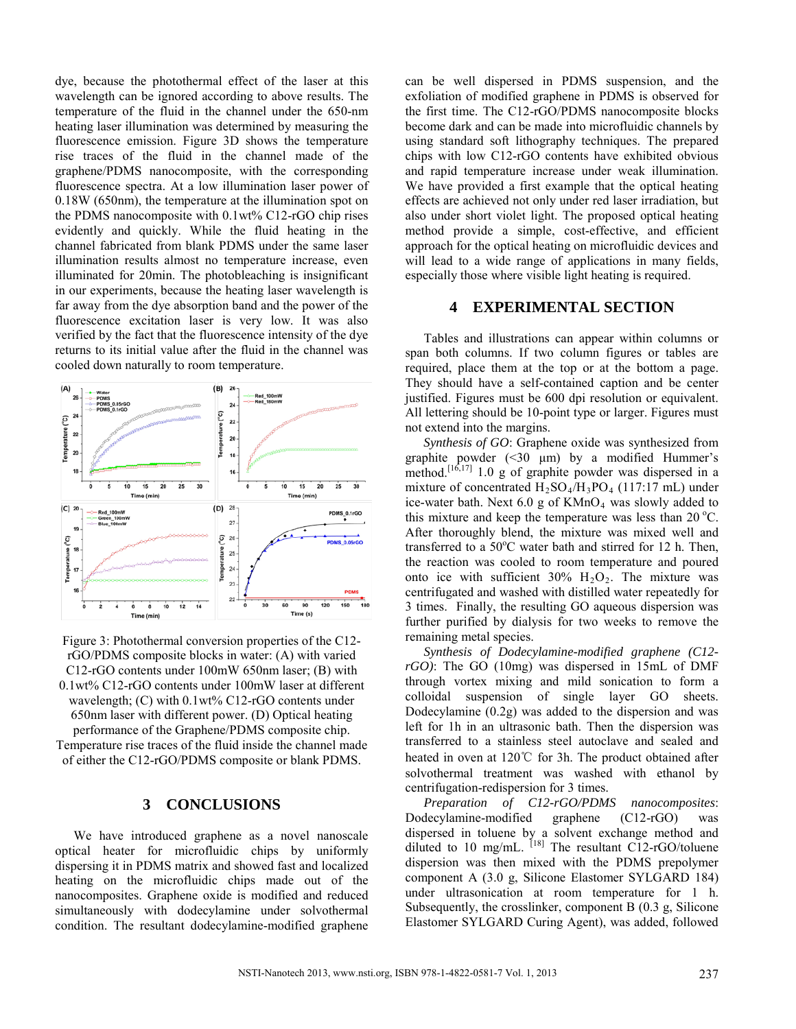dye, because the photothermal effect of the laser at this wavelength can be ignored according to above results. The temperature of the fluid in the channel under the 650-nm heating laser illumination was determined by measuring the fluorescence emission. Figure 3D shows the temperature rise traces of the fluid in the channel made of the graphene/PDMS nanocomposite, with the corresponding fluorescence spectra. At a low illumination laser power of 0.18W (650nm), the temperature at the illumination spot on the PDMS nanocomposite with 0.1wt% C12-rGO chip rises evidently and quickly. While the fluid heating in the channel fabricated from blank PDMS under the same laser illumination results almost no temperature increase, even illuminated for 20min. The photobleaching is insignificant in our experiments, because the heating laser wavelength is far away from the dye absorption band and the power of the fluorescence excitation laser is very low. It was also verified by the fact that the fluorescence intensity of the dye returns to its initial value after the fluid in the channel was cooled down naturally to room temperature.



Figure 3: Photothermal conversion properties of the C12 rGO/PDMS composite blocks in water: (A) with varied C12-rGO contents under 100mW 650nm laser; (B) with 0.1wt% C12-rGO contents under 100mW laser at different wavelength; (C) with 0.1wt% C12-rGO contents under 650nm laser with different power. (D) Optical heating performance of the Graphene/PDMS composite chip. Temperature rise traces of the fluid inside the channel made of either the C12-rGO/PDMS composite or blank PDMS.

### **3 CONCLUSIONS**

We have introduced graphene as a novel nanoscale optical heater for microfluidic chips by uniformly dispersing it in PDMS matrix and showed fast and localized heating on the microfluidic chips made out of the nanocomposites. Graphene oxide is modified and reduced simultaneously with dodecylamine under solvothermal condition. The resultant dodecylamine-modified graphene

can be well dispersed in PDMS suspension, and the exfoliation of modified graphene in PDMS is observed for the first time. The C12-rGO/PDMS nanocomposite blocks become dark and can be made into microfluidic channels by using standard soft lithography techniques. The prepared chips with low C12-rGO contents have exhibited obvious and rapid temperature increase under weak illumination. We have provided a first example that the optical heating effects are achieved not only under red laser irradiation, but also under short violet light. The proposed optical heating method provide a simple, cost-effective, and efficient approach for the optical heating on microfluidic devices and will lead to a wide range of applications in many fields. especially those where visible light heating is required.

### **4 EXPERIMENTAL SECTION**

Tables and illustrations can appear within columns or span both columns. If two column figures or tables are required, place them at the top or at the bottom a page. They should have a self-contained caption and be center justified. Figures must be 600 dpi resolution or equivalent. All lettering should be 10-point type or larger. Figures must not extend into the margins.

*Synthesis of GO*: Graphene oxide was synthesized from graphite powder (<30 μm) by a modified Hummer's method.<sup>[16,17]</sup> 1.0 g of graphite powder was dispersed in a mixture of concentrated  $H_2SO_4/H_3PO_4$  (117:17 mL) under ice-water bath. Next  $6.0$  g of KMnO<sub>4</sub> was slowly added to this mixture and keep the temperature was less than  $20^{\circ}$ C. After thoroughly blend, the mixture was mixed well and transferred to a  $50^{\circ}$ C water bath and stirred for 12 h. Then, the reaction was cooled to room temperature and poured onto ice with sufficient  $30\%$   $H_2O_2$ . The mixture was centrifugated and washed with distilled water repeatedly for 3 times. Finally, the resulting GO aqueous dispersion was further purified by dialysis for two weeks to remove the remaining metal species.

*Synthesis of Dodecylamine-modified graphene (C12 rGO)*: The GO (10mg) was dispersed in 15mL of DMF through vortex mixing and mild sonication to form a colloidal suspension of single layer GO sheets. Dodecylamine (0.2g) was added to the dispersion and was left for 1h in an ultrasonic bath. Then the dispersion was transferred to a stainless steel autoclave and sealed and heated in oven at 120℃ for 3h. The product obtained after solvothermal treatment was washed with ethanol by centrifugation-redispersion for 3 times.

*Preparation of C12-rGO/PDMS nanocomposites*: Dodecylamine-modified graphene (C12-rGO) was dispersed in toluene by a solvent exchange method and diluted to 10 mg/mL.  $^{[18]}$  The resultant C12-rGO/toluene dispersion was then mixed with the PDMS prepolymer component A (3.0 g, Silicone Elastomer SYLGARD 184) under ultrasonication at room temperature for 1 h. Subsequently, the crosslinker, component B (0.3 g, Silicone Elastomer SYLGARD Curing Agent), was added, followed